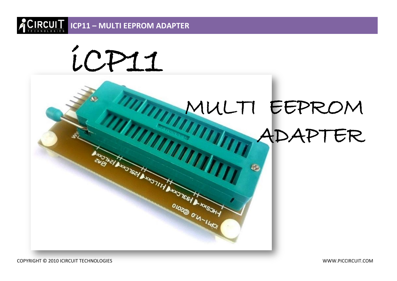



COPYRIGHT © 2010 ICIRCUIT TECHNOLOGIES WWW.PICCIRCUIT.COM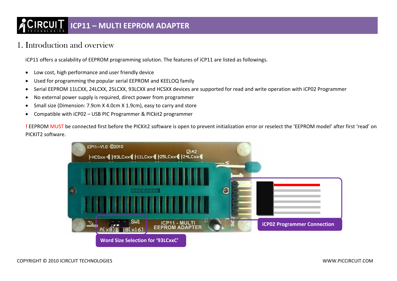# **ICP11 – MULTI EEPROM ADAPTER**

### 1. Introduction and overview

iCP11 offers a scalability of EEPROM programming solution. The features of iCP11 are listed as followings.

- Low cost, high performance and user friendly device
- Used for programming the popular serial EEPROM and KEELOQ family
- Serial EEPROM 11LCXX, 24LCXX, 25LCXX, 93LCXX and HCSXX devices are supported for read and write operation with iCP02 Programmer
- No external power supply is required, direct power from programmer
- Small size (Dimension: 7.9cm X 4.0cm X 1.9cm), easy to carry and store
- Compatible with iCP02 USB PIC Programmer & PICkit2 programmer

**!** EEPROM MUST be connected first before the PICKit2 software is open to prevent initialization error or reselect the 'EEPROM model' after first 'read' on PICKIT2 software.

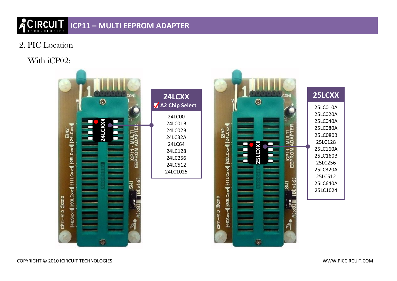# **ICP11 – MULTI EEPROM ADAPTER**

2. PIC Location

## With iCP02:



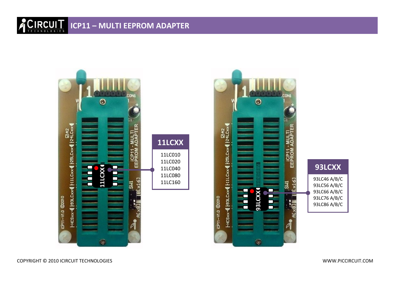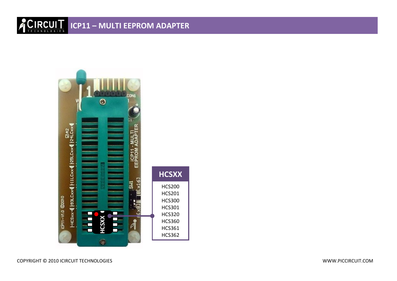